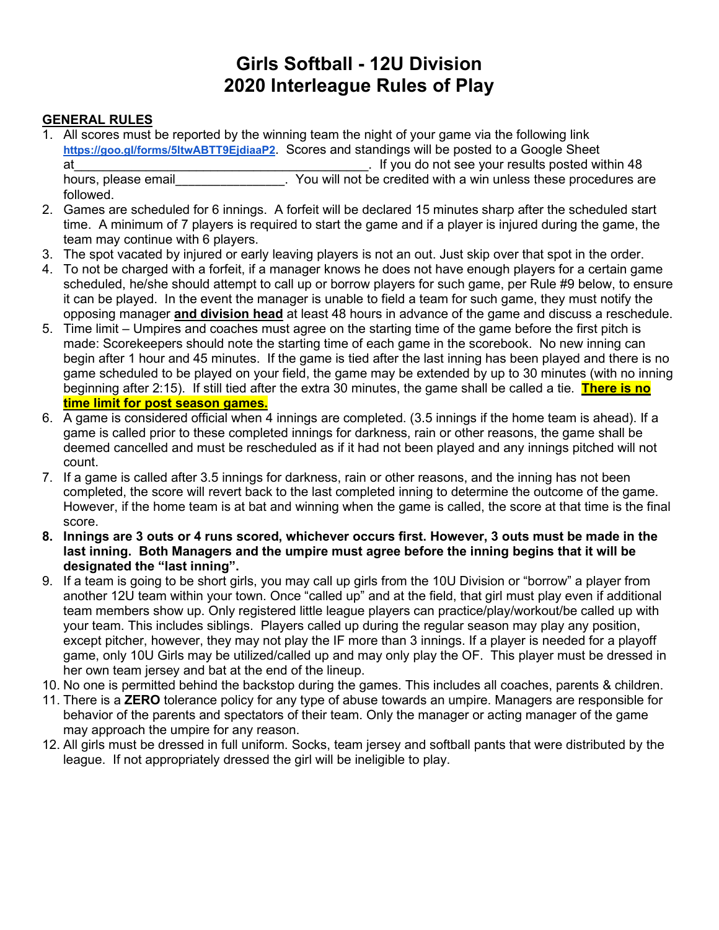# **Girls Softball - 12U Division 2020 Interleague Rules of Play**

# **GENERAL RULES**

1. All scores must be reported by the winning team the night of your game via the following link **<https://goo.gl/forms/5ItwABTT9EjdiaaP2>**. Scores and standings will be posted to a Google Sheet at\_\_\_\_\_\_\_\_\_\_\_\_\_\_\_\_\_\_\_\_\_\_\_\_\_\_\_\_\_\_\_\_\_\_\_\_\_\_\_\_\_. If you do not see your results posted within 48

followed.

- . You will not be credited with a win unless these procedures are
- 2. Games are scheduled for 6 innings. A forfeit will be declared 15 minutes sharp after the scheduled start time. A minimum of 7 players is required to start the game and if a player is injured during the game, the team may continue with 6 players.
- 3. The spot vacated by injured or early leaving players is not an out. Just skip over that spot in the order.
- 4. To not be charged with a forfeit, if a manager knows he does not have enough players for a certain game scheduled, he/she should attempt to call up or borrow players for such game, per Rule #9 below, to ensure it can be played. In the event the manager is unable to field a team for such game, they must notify the opposing manager **and division head** at least 48 hours in advance of the game and discuss a reschedule.
- 5. Time limit Umpires and coaches must agree on the starting time of the game before the first pitch is made: Scorekeepers should note the starting time of each game in the scorebook. No new inning can begin after 1 hour and 45 minutes. If the game is tied after the last inning has been played and there is no game scheduled to be played on your field, the game may be extended by up to 30 minutes (with no inning beginning after 2:15). If still tied after the extra 30 minutes, the game shall be called a tie. **There is no time limit for post season games.**
- 6. A game is considered official when 4 innings are completed. (3.5 innings if the home team is ahead). If a game is called prior to these completed innings for darkness, rain or other reasons, the game shall be deemed cancelled and must be rescheduled as if it had not been played and any innings pitched will not count.
- 7. If a game is called after 3.5 innings for darkness, rain or other reasons, and the inning has not been completed, the score will revert back to the last completed inning to determine the outcome of the game. However, if the home team is at bat and winning when the game is called, the score at that time is the final score.
- **8. Innings are 3 outs or 4 runs scored, whichever occurs first. However, 3 outs must be made in the last inning. Both Managers and the umpire must agree before the inning begins that it will be designated the "last inning".**
- 9. If a team is going to be short girls, you may call up girls from the 10U Division or "borrow" a player from another 12U team within your town. Once "called up" and at the field, that girl must play even if additional team members show up. Only registered little league players can practice/play/workout/be called up with your team. This includes siblings. Players called up during the regular season may play any position, except pitcher, however, they may not play the IF more than 3 innings. If a player is needed for a playoff game, only 10U Girls may be utilized/called up and may only play the OF. This player must be dressed in her own team jersey and bat at the end of the lineup.
- 10. No one is permitted behind the backstop during the games. This includes all coaches, parents & children.
- 11. There is a **ZERO** tolerance policy for any type of abuse towards an umpire. Managers are responsible for behavior of the parents and spectators of their team. Only the manager or acting manager of the game may approach the umpire for any reason.
- 12. All girls must be dressed in full uniform. Socks, team jersey and softball pants that were distributed by the league. If not appropriately dressed the girl will be ineligible to play.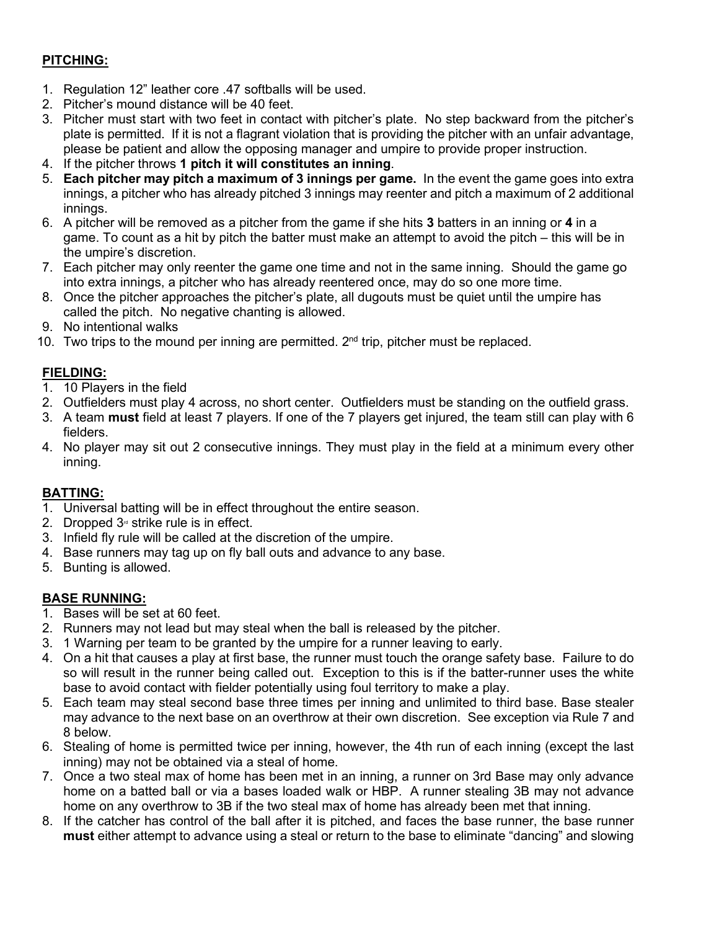# **PITCHING:**

- 1. Regulation 12" leather core .47 softballs will be used.
- 2. Pitcher's mound distance will be 40 feet.
- 3. Pitcher must start with two feet in contact with pitcher's plate. No step backward from the pitcher's plate is permitted. If it is not a flagrant violation that is providing the pitcher with an unfair advantage, please be patient and allow the opposing manager and umpire to provide proper instruction.
- 4. If the pitcher throws **1 pitch it will constitutes an inning**.
- 5. **Each pitcher may pitch a maximum of 3 innings per game.** In the event the game goes into extra innings, a pitcher who has already pitched 3 innings may reenter and pitch a maximum of 2 additional innings.
- 6. A pitcher will be removed as a pitcher from the game if she hits **3** batters in an inning or **4** in a game. To count as a hit by pitch the batter must make an attempt to avoid the pitch – this will be in the umpire's discretion.
- 7. Each pitcher may only reenter the game one time and not in the same inning. Should the game go into extra innings, a pitcher who has already reentered once, may do so one more time.
- 8. Once the pitcher approaches the pitcher's plate, all dugouts must be quiet until the umpire has called the pitch. No negative chanting is allowed.
- 9. No intentional walks
- 10. Two trips to the mound per inning are permitted.  $2<sup>nd</sup>$  trip, pitcher must be replaced.

### **FIELDING:**

- 1. 10 Players in the field
- 2. Outfielders must play 4 across, no short center. Outfielders must be standing on the outfield grass.
- 3. A team **must** field at least 7 players. If one of the 7 players get injured, the team still can play with 6 fielders.
- 4. No player may sit out 2 consecutive innings. They must play in the field at a minimum every other inning.

#### **BATTING:**

- 1. Universal batting will be in effect throughout the entire season.
- 2. Dropped  $3<sub>a</sub>$  strike rule is in effect.
- 3. Infield fly rule will be called at the discretion of the umpire.
- 4. Base runners may tag up on fly ball outs and advance to any base.
- 5. Bunting is allowed.

#### **BASE RUNNING:**

- 1. Bases will be set at 60 feet.
- 2. Runners may not lead but may steal when the ball is released by the pitcher.
- 3. 1 Warning per team to be granted by the umpire for a runner leaving to early.
- 4. On a hit that causes a play at first base, the runner must touch the orange safety base. Failure to do so will result in the runner being called out. Exception to this is if the batter-runner uses the white base to avoid contact with fielder potentially using foul territory to make a play.
- 5. Each team may steal second base three times per inning and unlimited to third base. Base stealer may advance to the next base on an overthrow at their own discretion. See exception via Rule 7 and 8 below.
- 6. Stealing of home is permitted twice per inning, however, the 4th run of each inning (except the last inning) may not be obtained via a steal of home.
- 7. Once a two steal max of home has been met in an inning, a runner on 3rd Base may only advance home on a batted ball or via a bases loaded walk or HBP. A runner stealing 3B may not advance home on any overthrow to 3B if the two steal max of home has already been met that inning.
- 8. If the catcher has control of the ball after it is pitched, and faces the base runner, the base runner **must** either attempt to advance using a steal or return to the base to eliminate "dancing" and slowing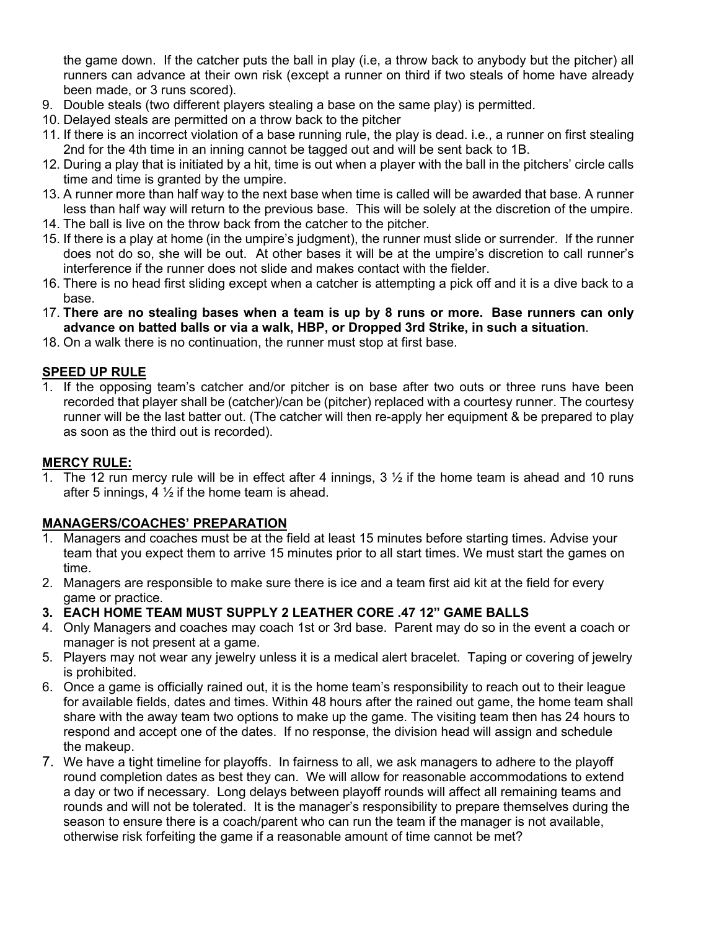the game down. If the catcher puts the ball in play (i.e, a throw back to anybody but the pitcher) all runners can advance at their own risk (except a runner on third if two steals of home have already been made, or 3 runs scored).

- 9. Double steals (two different players stealing a base on the same play) is permitted.
- 10. Delayed steals are permitted on a throw back to the pitcher
- 11. If there is an incorrect violation of a base running rule, the play is dead. i.e., a runner on first stealing 2nd for the 4th time in an inning cannot be tagged out and will be sent back to 1B.
- 12. During a play that is initiated by a hit, time is out when a player with the ball in the pitchers' circle calls time and time is granted by the umpire.
- 13. A runner more than half way to the next base when time is called will be awarded that base. A runner less than half way will return to the previous base. This will be solely at the discretion of the umpire.
- 14. The ball is live on the throw back from the catcher to the pitcher.
- 15. If there is a play at home (in the umpire's judgment), the runner must slide or surrender. If the runner does not do so, she will be out. At other bases it will be at the umpire's discretion to call runner's interference if the runner does not slide and makes contact with the fielder.
- 16. There is no head first sliding except when a catcher is attempting a pick off and it is a dive back to a base.
- 17. **There are no stealing bases when a team is up by 8 runs or more. Base runners can only advance on batted balls or via a walk, HBP, or Dropped 3rd Strike, in such a situation**.
- 18. On a walk there is no continuation, the runner must stop at first base.

## **SPEED UP RULE**

1. If the opposing team's catcher and/or pitcher is on base after two outs or three runs have been recorded that player shall be (catcher)/can be (pitcher) replaced with a courtesy runner. The courtesy runner will be the last batter out. (The catcher will then re-apply her equipment & be prepared to play as soon as the third out is recorded).

#### **MERCY RULE:**

1. The 12 run mercy rule will be in effect after 4 innings,  $3\frac{1}{2}$  if the home team is ahead and 10 runs after 5 innings, 4  $\frac{1}{2}$  if the home team is ahead.

#### **MANAGERS/COACHES' PREPARATION**

- 1. Managers and coaches must be at the field at least 15 minutes before starting times. Advise your team that you expect them to arrive 15 minutes prior to all start times. We must start the games on time.
- 2. Managers are responsible to make sure there is ice and a team first aid kit at the field for every game or practice.
- **3. EACH HOME TEAM MUST SUPPLY 2 LEATHER CORE .47 12" GAME BALLS**
- 4. Only Managers and coaches may coach 1st or 3rd base. Parent may do so in the event a coach or manager is not present at a game.
- 5. Players may not wear any jewelry unless it is a medical alert bracelet. Taping or covering of jewelry is prohibited.
- 6. Once a game is officially rained out, it is the home team's responsibility to reach out to their league for available fields, dates and times. Within 48 hours after the rained out game, the home team shall share with the away team two options to make up the game. The visiting team then has 24 hours to respond and accept one of the dates. If no response, the division head will assign and schedule the makeup.
- 7. We have a tight timeline for playoffs. In fairness to all, we ask managers to adhere to the playoff round completion dates as best they can. We will allow for reasonable accommodations to extend a day or two if necessary. Long delays between playoff rounds will affect all remaining teams and rounds and will not be tolerated. It is the manager's responsibility to prepare themselves during the season to ensure there is a coach/parent who can run the team if the manager is not available, otherwise risk forfeiting the game if a reasonable amount of time cannot be met?